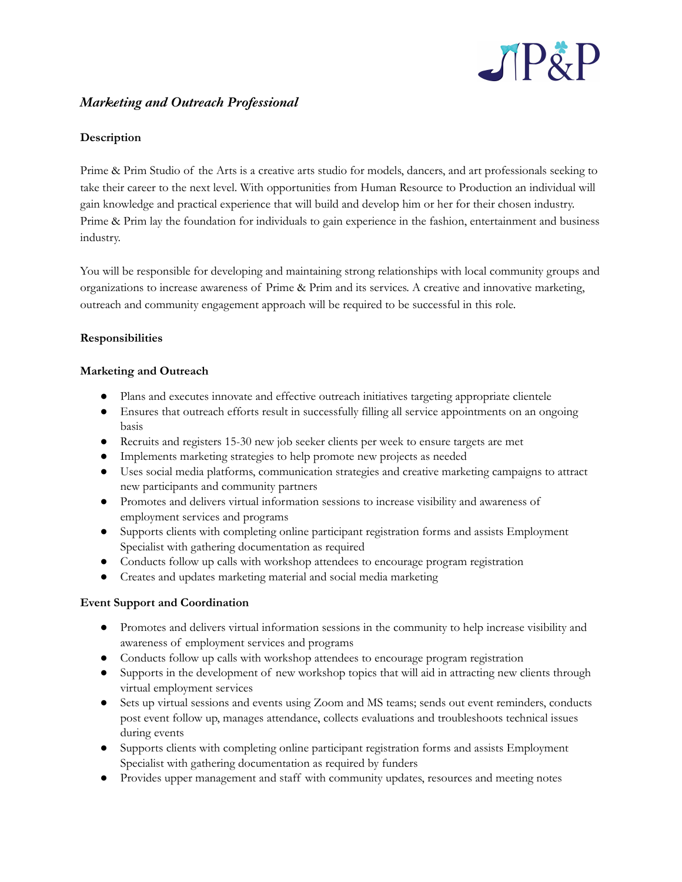

# *Marketing and Outreach Professional*

## **Description**

Prime & Prim Studio of the Arts is a creative arts studio for models, dancers, and art professionals seeking to take their career to the next level. With opportunities from Human Resource to Production an individual will gain knowledge and practical experience that will build and develop him or her for their chosen industry. Prime & Prim lay the foundation for individuals to gain experience in the fashion, entertainment and business industry.

You will be responsible for developing and maintaining strong relationships with local community groups and organizations to increase awareness of Prime & Prim and its services. A creative and innovative marketing, outreach and community engagement approach will be required to be successful in this role.

### **Responsibilities**

### **Marketing and Outreach**

- Plans and executes innovate and effective outreach initiatives targeting appropriate clientele
- Ensures that outreach efforts result in successfully filling all service appointments on an ongoing basis
- Recruits and registers 15-30 new job seeker clients per week to ensure targets are met
- Implements marketing strategies to help promote new projects as needed
- Uses social media platforms, communication strategies and creative marketing campaigns to attract new participants and community partners
- Promotes and delivers virtual information sessions to increase visibility and awareness of employment services and programs
- Supports clients with completing online participant registration forms and assists Employment Specialist with gathering documentation as required
- Conducts follow up calls with workshop attendees to encourage program registration
- Creates and updates marketing material and social media marketing

#### **Event Support and Coordination**

- Promotes and delivers virtual information sessions in the community to help increase visibility and awareness of employment services and programs
- Conducts follow up calls with workshop attendees to encourage program registration
- Supports in the development of new workshop topics that will aid in attracting new clients through virtual employment services
- Sets up virtual sessions and events using Zoom and MS teams; sends out event reminders, conducts post event follow up, manages attendance, collects evaluations and troubleshoots technical issues during events
- Supports clients with completing online participant registration forms and assists Employment Specialist with gathering documentation as required by funders
- Provides upper management and staff with community updates, resources and meeting notes